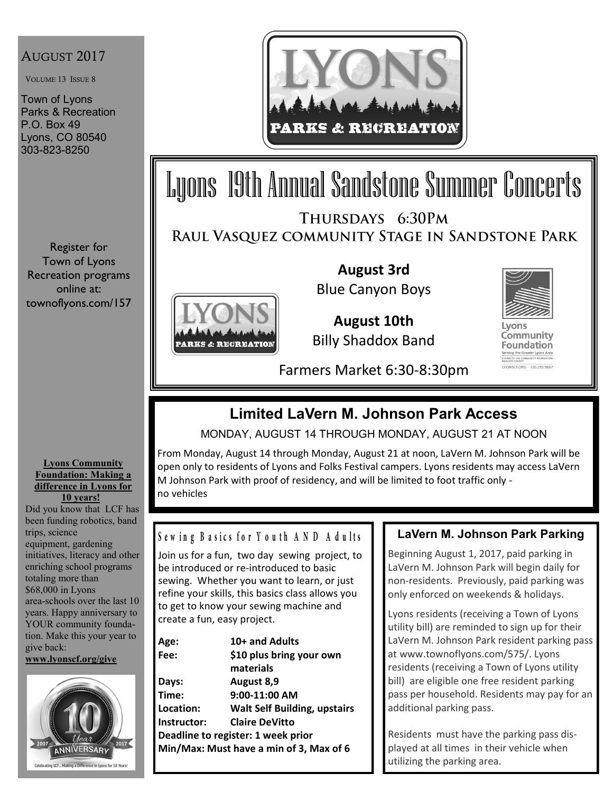## AUGUST 2017

VOLUME 13 ISSUE 8

Town of Lyons Parks & Recreation P.O. Box 49 Lyons, CO 80540 303-823-8250

Register for Town of Lyons Recreation programs online at: townoflyons.com/157



# Lyons 19th Annual Sandstone Summer Concerts THURSDAYS 6:30PM

RAUL VASQUEZ COMMUNITY STAGE IN SANDSTONE PARK



**August 3rd**  Blue Canyon Boys

**August 10th** Billy Shaddox Band



Community **Foundation** LYONSCF.ORG - 720.295.9667

Farmers Market 6:30-8:30pm

## **Limited LaVern M. Johnson Park Access**

MONDAY, AUGUST 14 THROUGH MONDAY, AUGUST 21 AT NOON

From Monday, August 14 through Monday, August 21 at noon, LaVern M. Johnson Park will be open only to residents of Lyons and Folks Festival campers. Lyons residents may access LaVern M Johnson Park with proof of residency, and will be limited to foot traffic only no vehicles

#### **Lyons Community Foundation: Making a difference in Lyons for 10 years!**

Did you know that LCF has been funding robotics, band trips, science equipment, gardening initiatives, literacy and other enriching school programs totaling more than \$68,000 in Lyons area-schools over the last 10 years. Happy anniversary to YOUR community foundation. Make this your year to give back: **[www.lyonscf.org/give](http://www.lyonscf.org/give)**



## Sewing Basics for Youth AND Adults

Join us for a fun, two day sewing project, to be introduced or re-introduced to basic sewing. Whether you want to learn, or just refine your skills, this basics class allows you to get to know your sewing machine and create a fun, easy project.

| Age:        | 10+ and Adults                          |
|-------------|-----------------------------------------|
| Fee:        | \$10 plus bring your own                |
|             | materials                               |
| Days:       | August 8,9                              |
| Time:       | 9:00-11:00 AM                           |
| Location:   | <b>Walt Self Building, upstairs</b>     |
| Instructor: | <b>Claire DeVitto</b>                   |
|             | Deadline to register: 1 week prior      |
|             | Min/Max: Must have a min of 3, Max of 6 |
|             |                                         |

## **LaVern M. Johnson Park Parking**

Beginning August 1, 2017, paid parking in LaVern M. Johnson Park will begin daily for non-residents. Previously, paid parking was only enforced on weekends & holidays.

Lyons residents (receiving a Town of Lyons utility bill) are reminded to sign up for their LaVern M. Johnson Park resident parking pass at www.townoflyons.com/575/. Lyons residents (receiving a Town of Lyons utility bill) are eligible one free resident parking pass per household. Residents may pay for an additional parking pass.

Residents must have the parking pass displayed at all times in their vehicle when utilizing the parking area.